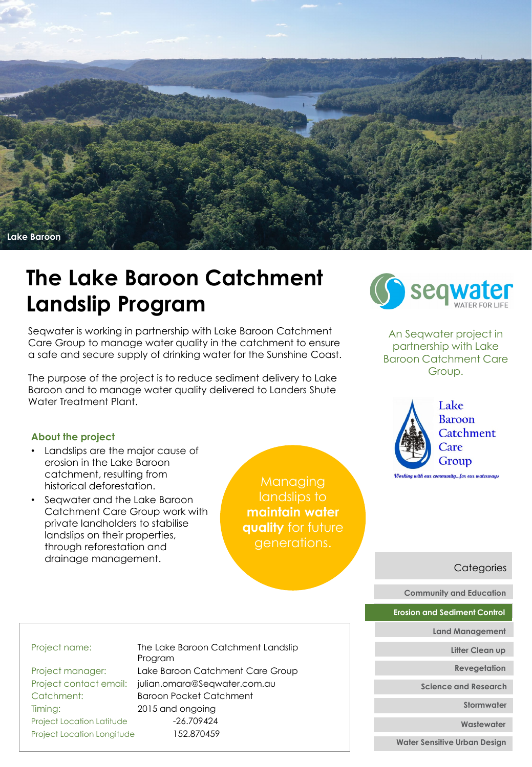

## **The Lake Baroon Catchment Landslip Program**

Seqwater is working in partnership with Lake Baroon Catchment Care Group to manage water quality in the catchment to ensure a safe and secure supply of drinking water for the Sunshine Coast.

The purpose of the project is to reduce sediment delivery to Lake Baroon and to manage water quality delivered to Landers Shute Water Treatment Plant.

## **About the project**

- Landslips are the major cause of erosion in the Lake Baroon catchment, resulting from historical deforestation.
- Seqwater and the Lake Baroon Catchment Care Group work with private landholders to stabilise landslips on their properties, through reforestation and drainage management.

Managing landslips to **maintain water quality** for future generations.



An Seqwater project in partnership with Lake Baroon Catchment Care Group.



**Categories** 

**Community and Education**

**Erosion and Sediment Control**

**Land Management**

**Litter Clean up**

**Revegetation**

**Science and Research**

**Stormwater**

**Wastewater**

**Water Sensitive Urban Design**

Timing: 2015 and ongoing Project Location Latitude -26.709424 Project Location Longitude 152.870459

Project name: The Lake Baroon Catchment Landslip Program Project manager: Lake Baroon Catchment Care Group Project contact email: julian.omara@Seqwater.com.au Catchment: Baroon Pocket Catchment